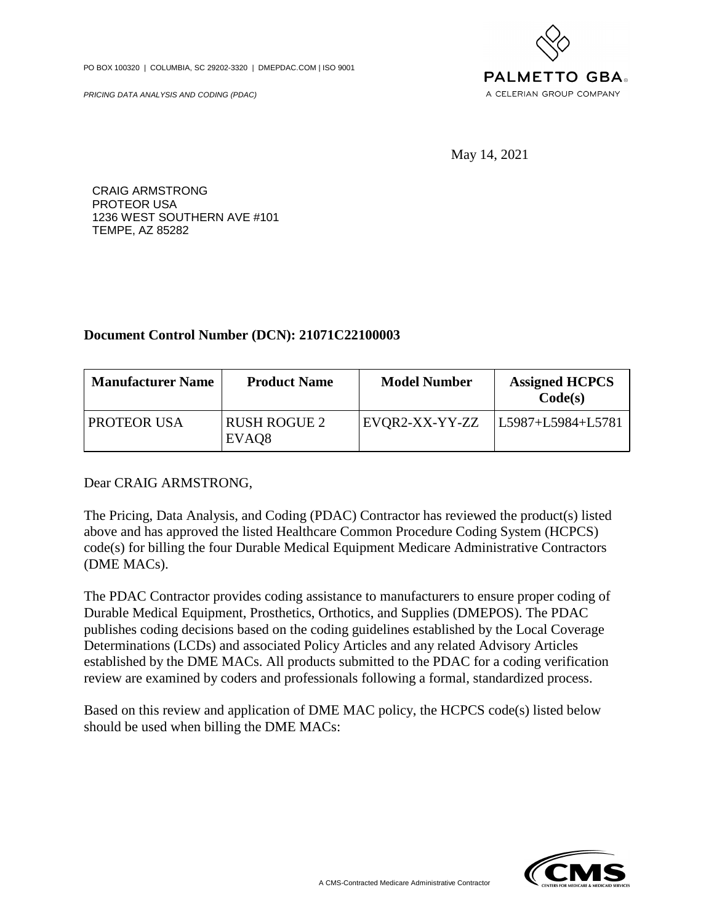PO BOX 100320 | COLUMBIA, SC 29202-3320 | DMEPDAC.COM | ISO 9001

PRICING DATA ANALYSIS AND CODING (PDAC)



May 14, 2021

CRAIG ARMSTRONG PROTEOR USA 1236 WEST SOUTHERN AVE #101 TEMPE, AZ 85282

## **Document Control Number (DCN): 21071C22100003**

| <b>Manufacturer Name</b> | <b>Product Name</b>                      | <b>Model Number</b> | <b>Assigned HCPCS</b><br>Code(s) |
|--------------------------|------------------------------------------|---------------------|----------------------------------|
| <b>PROTEOR USA</b>       | <b>RUSH ROGUE 2</b><br>EVAQ <sub>8</sub> | EVOR2-XX-YY-ZZ      | L5987+L5984+L5781                |

Dear CRAIG ARMSTRONG,

The Pricing, Data Analysis, and Coding (PDAC) Contractor has reviewed the product(s) listed above and has approved the listed Healthcare Common Procedure Coding System (HCPCS) code(s) for billing the four Durable Medical Equipment Medicare Administrative Contractors (DME MACs).

The PDAC Contractor provides coding assistance to manufacturers to ensure proper coding of Durable Medical Equipment, Prosthetics, Orthotics, and Supplies (DMEPOS). The PDAC publishes coding decisions based on the coding guidelines established by the Local Coverage Determinations (LCDs) and associated Policy Articles and any related Advisory Articles established by the DME MACs. All products submitted to the PDAC for a coding verification review are examined by coders and professionals following a formal, standardized process.

Based on this review and application of DME MAC policy, the HCPCS code(s) listed below should be used when billing the DME MACs: